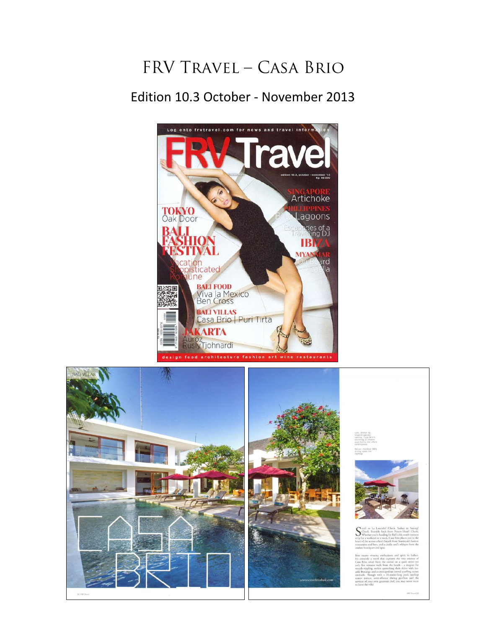## FRV TRAVEL - CASA BRIO

## Edition 10.3 October - November 2013



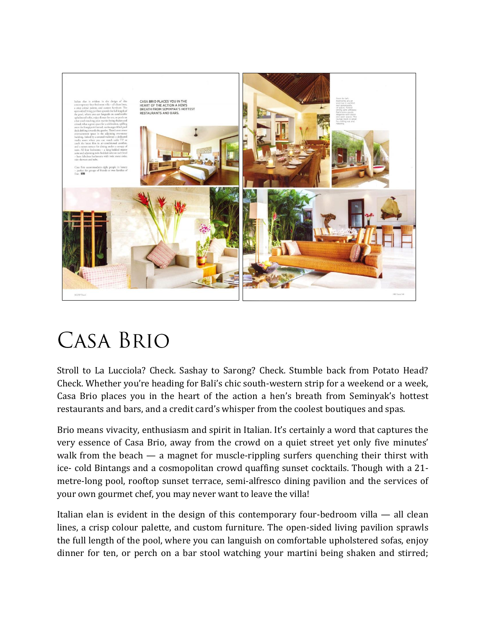

## **CASA BRIO**

Stroll to La Lucciola? Check. Sashay to Sarong? Check. Stumble back from Potato Head? Check. Whether you're heading for Bali's chic south-western strip for a weekend or a week, Casa Brio places you in the heart of the action a hen's breath from Seminyak's hottest restaurants and bars, and a credit card's whisper from the coolest boutiques and spas.

Brio means vivacity, enthusiasm and spirit in Italian. It's certainly a word that captures the very essence of Casa Brio, away from the crowd on a quiet street yet only five minutes' walk from the beach — a magnet for muscle-rippling surfers quenching their thirst with ice- cold Bintangs and a cosmopolitan crowd quaffing sunset cocktails. Though with a 21 metre-long pool, rooftop sunset terrace, semi-alfresco dining pavilion and the services of your own gourmet chef, you may never want to leave the villa!

Italian elan is evident in the design of this contemporary four-bedroom villa — all clean lines, a crisp colour palette, and custom furniture. The open-sided living pavilion sprawls the full length of the pool, where you can languish on comfortable upholstered sofas, enjoy dinner for ten, or perch on a bar stool watching your martini being shaken and stirred;